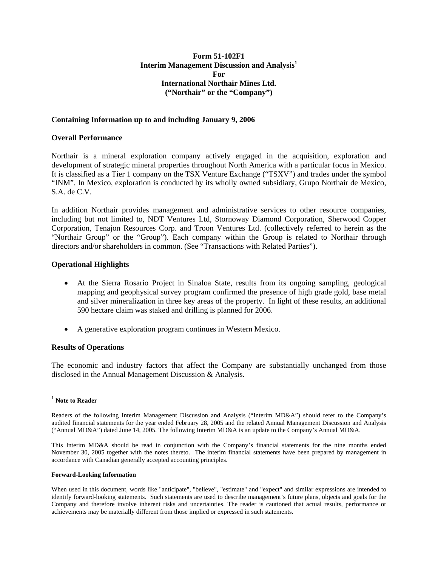# **Form 51-102F1 Interim Management Discussion and Analysis1 For International Northair Mines Ltd. ("Northair" or the "Company")**

## **Containing Information up to and including January 9, 2006**

## **Overall Performance**

Northair is a mineral exploration company actively engaged in the acquisition, exploration and development of strategic mineral properties throughout North America with a particular focus in Mexico. It is classified as a Tier 1 company on the TSX Venture Exchange ("TSXV") and trades under the symbol "INM". In Mexico, exploration is conducted by its wholly owned subsidiary, Grupo Northair de Mexico, S.A. de C.V.

In addition Northair provides management and administrative services to other resource companies, including but not limited to, NDT Ventures Ltd, Stornoway Diamond Corporation, Sherwood Copper Corporation, Tenajon Resources Corp. and Troon Ventures Ltd. (collectively referred to herein as the "Northair Group" or the "Group"). Each company within the Group is related to Northair through directors and/or shareholders in common. (See "Transactions with Related Parties").

#### **Operational Highlights**

- At the Sierra Rosario Project in Sinaloa State, results from its ongoing sampling, geological mapping and geophysical survey program confirmed the presence of high grade gold, base metal and silver mineralization in three key areas of the property. In light of these results, an additional 590 hectare claim was staked and drilling is planned for 2006.
- A generative exploration program continues in Western Mexico.

## **Results of Operations**

The economic and industry factors that affect the Company are substantially unchanged from those disclosed in the Annual Management Discussion & Analysis.

 $\overline{a}$ 

#### **Forward-Looking Information**

<sup>1</sup> **Note to Reader**

Readers of the following Interim Management Discussion and Analysis ("Interim MD&A") should refer to the Company's audited financial statements for the year ended February 28, 2005 and the related Annual Management Discussion and Analysis ("Annual MD&A") dated June 14, 2005. The following Interim MD&A is an update to the Company's Annual MD&A.

This Interim MD&A should be read in conjunction with the Company's financial statements for the nine months ended November 30, 2005 together with the notes thereto. The interim financial statements have been prepared by management in accordance with Canadian generally accepted accounting principles.

When used in this document, words like "anticipate", "believe", "estimate" and "expect" and similar expressions are intended to identify forward-looking statements. Such statements are used to describe management's future plans, objects and goals for the Company and therefore involve inherent risks and uncertainties. The reader is cautioned that actual results, performance or achievements may be materially different from those implied or expressed in such statements.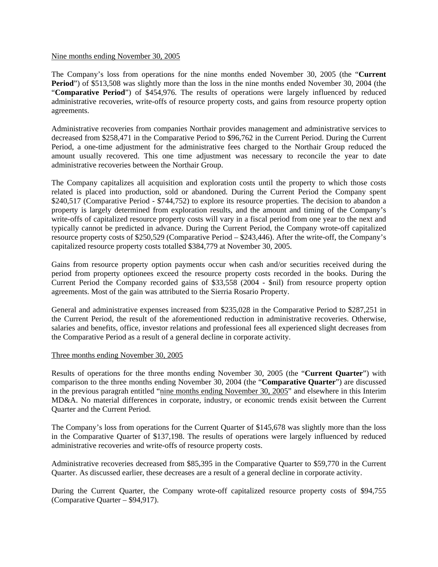## Nine months ending November 30, 2005

The Company's loss from operations for the nine months ended November 30, 2005 (the "**Current Period**") of \$513,508 was slightly more than the loss in the nine months ended November 30, 2004 (the "**Comparative Period**") of \$454,976. The results of operations were largely influenced by reduced administrative recoveries, write-offs of resource property costs, and gains from resource property option agreements.

Administrative recoveries from companies Northair provides management and administrative services to decreased from \$258,471 in the Comparative Period to \$96,762 in the Current Period. During the Current Period, a one-time adjustment for the administrative fees charged to the Northair Group reduced the amount usually recovered. This one time adjustment was necessary to reconcile the year to date administrative recoveries between the Northair Group.

The Company capitalizes all acquisition and exploration costs until the property to which those costs related is placed into production, sold or abandoned. During the Current Period the Company spent \$240,517 (Comparative Period - \$744,752) to explore its resource properties. The decision to abandon a property is largely determined from exploration results, and the amount and timing of the Company's write-offs of capitalized resource property costs will vary in a fiscal period from one year to the next and typically cannot be predicted in advance. During the Current Period, the Company wrote-off capitalized resource property costs of \$250,529 (Comparative Period – \$243,446). After the write-off, the Company's capitalized resource property costs totalled \$384,779 at November 30, 2005.

Gains from resource property option payments occur when cash and/or securities received during the period from property optionees exceed the resource property costs recorded in the books. During the Current Period the Company recorded gains of \$33,558 (2004 - \$nil) from resource property option agreements. Most of the gain was attributed to the Sierria Rosario Property.

General and administrative expenses increased from \$235,028 in the Comparative Period to \$287,251 in the Current Period, the result of the aforementioned reduction in administrative recoveries. Otherwise, salaries and benefits, office, investor relations and professional fees all experienced slight decreases from the Comparative Period as a result of a general decline in corporate activity.

# Three months ending November 30, 2005

Results of operations for the three months ending November 30, 2005 (the "**Current Quarter**") with comparison to the three months ending November 30, 2004 (the "**Comparative Quarter**") are discussed in the previous paragrah entitled "nine months ending November 30, 2005" and elsewhere in this Interim MD&A. No material differences in corporate, industry, or economic trends exisit between the Current Quarter and the Current Period.

The Company's loss from operations for the Current Quarter of \$145,678 was slightly more than the loss in the Comparative Quarter of \$137,198. The results of operations were largely influenced by reduced administrative recoveries and write-offs of resource property costs.

Administrative recoveries decreased from \$85,395 in the Comparative Quarter to \$59,770 in the Current Quarter. As discussed earlier, these decreases are a result of a general decline in corporate activity.

During the Current Quarter, the Company wrote-off capitalized resource property costs of \$94,755 (Comparative Quarter – \$94,917).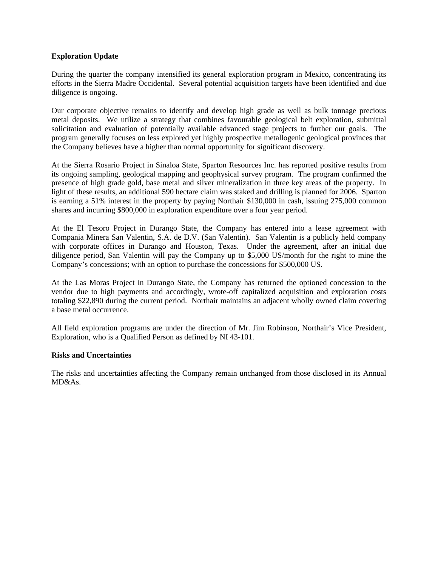# **Exploration Update**

During the quarter the company intensified its general exploration program in Mexico, concentrating its efforts in the Sierra Madre Occidental. Several potential acquisition targets have been identified and due diligence is ongoing.

Our corporate objective remains to identify and develop high grade as well as bulk tonnage precious metal deposits. We utilize a strategy that combines favourable geological belt exploration, submittal solicitation and evaluation of potentially available advanced stage projects to further our goals. The program generally focuses on less explored yet highly prospective metallogenic geological provinces that the Company believes have a higher than normal opportunity for significant discovery.

At the Sierra Rosario Project in Sinaloa State, Sparton Resources Inc. has reported positive results from its ongoing sampling, geological mapping and geophysical survey program. The program confirmed the presence of high grade gold, base metal and silver mineralization in three key areas of the property. In light of these results, an additional 590 hectare claim was staked and drilling is planned for 2006. Sparton is earning a 51% interest in the property by paying Northair \$130,000 in cash, issuing 275,000 common shares and incurring \$800,000 in exploration expenditure over a four year period.

At the El Tesoro Project in Durango State, the Company has entered into a lease agreement with Compania Minera San Valentin, S.A. de D.V. (San Valentin). San Valentin is a publicly held company with corporate offices in Durango and Houston, Texas. Under the agreement, after an initial due diligence period, San Valentin will pay the Company up to \$5,000 US/month for the right to mine the Company's concessions; with an option to purchase the concessions for \$500,000 US.

At the Las Moras Project in Durango State, the Company has returned the optioned concession to the vendor due to high payments and accordingly, wrote-off capitalized acquisition and exploration costs totaling \$22,890 during the current period. Northair maintains an adjacent wholly owned claim covering a base metal occurrence.

All field exploration programs are under the direction of Mr. Jim Robinson, Northair's Vice President, Exploration, who is a Qualified Person as defined by NI 43-101.

# **Risks and Uncertainties**

The risks and uncertainties affecting the Company remain unchanged from those disclosed in its Annual MD&As.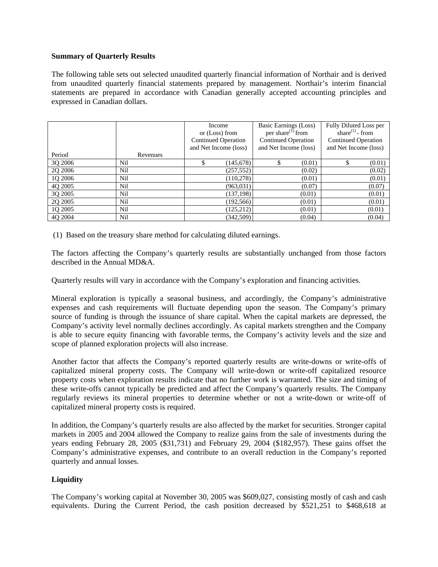## **Summary of Quarterly Results**

The following table sets out selected unaudited quarterly financial information of Northair and is derived from unaudited quarterly financial statements prepared by management. Northair's interim financial statements are prepared in accordance with Canadian generally accepted accounting principles and expressed in Canadian dollars.

|         |          | Income<br>or (Loss) from<br><b>Continued Operation</b><br>and Net Income (loss) | Basic Earnings (Loss)<br>per share <sup>(1)</sup> from<br><b>Continued Operation</b><br>and Net Income (loss) | Fully Diluted Loss per<br>share $^{(1)}$ - from<br><b>Continued Operation</b><br>and Net Income (loss) |
|---------|----------|---------------------------------------------------------------------------------|---------------------------------------------------------------------------------------------------------------|--------------------------------------------------------------------------------------------------------|
| Period  | Revenues |                                                                                 |                                                                                                               |                                                                                                        |
| 3Q 2006 | Nil      | (145, 678)                                                                      | (0.01)<br>\$.                                                                                                 | (0.01)                                                                                                 |
| 2Q 2006 | Nil      | (257, 552)                                                                      | (0.02)                                                                                                        | (0.02)                                                                                                 |
| 1Q 2006 | Nil      | (110, 278)                                                                      | (0.01)                                                                                                        | (0.01)                                                                                                 |
| 4Q 2005 | Nil      | (963, 031)                                                                      | (0.07)                                                                                                        | (0.07)                                                                                                 |
| 3Q 2005 | Nil      | (137, 198)                                                                      | (0.01)                                                                                                        | (0.01)                                                                                                 |
| 2Q 2005 | Nil      | (192, 566)                                                                      | (0.01)                                                                                                        | (0.01)                                                                                                 |
| 1Q 2005 | Nil      | (125, 212)                                                                      | (0.01)                                                                                                        | (0.01)                                                                                                 |
| 40 2004 | Nil      | (342,509)                                                                       | (0.04)                                                                                                        | (0.04)                                                                                                 |

(1) Based on the treasury share method for calculating diluted earnings.

The factors affecting the Company's quarterly results are substantially unchanged from those factors described in the Annual MD&A.

Quarterly results will vary in accordance with the Company's exploration and financing activities.

Mineral exploration is typically a seasonal business, and accordingly, the Company's administrative expenses and cash requirements will fluctuate depending upon the season. The Company's primary source of funding is through the issuance of share capital. When the capital markets are depressed, the Company's activity level normally declines accordingly. As capital markets strengthen and the Company is able to secure equity financing with favorable terms, the Company's activity levels and the size and scope of planned exploration projects will also increase.

Another factor that affects the Company's reported quarterly results are write-downs or write-offs of capitalized mineral property costs. The Company will write-down or write-off capitalized resource property costs when exploration results indicate that no further work is warranted. The size and timing of these write-offs cannot typically be predicted and affect the Company's quarterly results. The Company regularly reviews its mineral properties to determine whether or not a write-down or write-off of capitalized mineral property costs is required.

In addition, the Company's quarterly results are also affected by the market for securities. Stronger capital markets in 2005 and 2004 allowed the Company to realize gains from the sale of investments during the years ending February 28, 2005 (\$31,731) and February 29, 2004 (\$182,957). These gains offset the Company's administrative expenses, and contribute to an overall reduction in the Company's reported quarterly and annual losses.

# **Liquidity**

The Company's working capital at November 30, 2005 was \$609,027, consisting mostly of cash and cash equivalents. During the Current Period, the cash position decreased by \$521,251 to \$468,618 at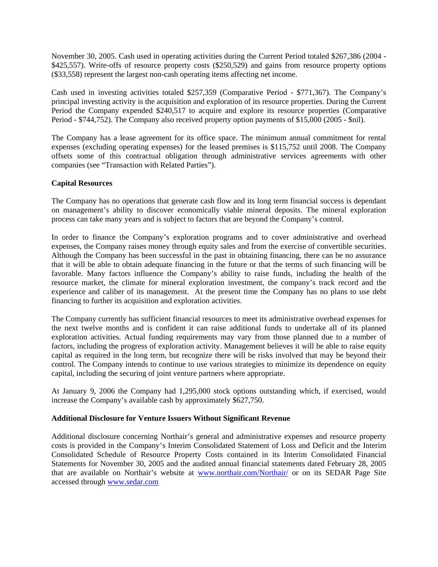November 30, 2005. Cash used in operating activities during the Current Period totaled \$267,386 (2004 - \$425,557). Write-offs of resource property costs (\$250,529) and gains from resource property options (\$33,558) represent the largest non-cash operating items affecting net income.

Cash used in investing activities totaled \$257,359 (Comparative Period - \$771,367). The Company's principal investing activity is the acquisition and exploration of its resource properties. During the Current Period the Company expended \$240,517 to acquire and explore its resource properties (Comparative Period - \$744,752). The Company also received property option payments of \$15,000 (2005 - \$nil).

The Company has a lease agreement for its office space. The minimum annual commitment for rental expenses (excluding operating expenses) for the leased premises is \$115,752 until 2008. The Company offsets some of this contractual obligation through administrative services agreements with other companies (see "Transaction with Related Parties").

## **Capital Resources**

The Company has no operations that generate cash flow and its long term financial success is dependant on management's ability to discover economically viable mineral deposits. The mineral exploration process can take many years and is subject to factors that are beyond the Company's control.

In order to finance the Company's exploration programs and to cover administrative and overhead expenses, the Company raises money through equity sales and from the exercise of convertible securities. Although the Company has been successful in the past in obtaining financing, there can be no assurance that it will be able to obtain adequate financing in the future or that the terms of such financing will be favorable. Many factors influence the Company's ability to raise funds, including the health of the resource market, the climate for mineral exploration investment, the company's track record and the experience and caliber of its management. At the present time the Company has no plans to use debt financing to further its acquisition and exploration activities.

The Company currently has sufficient financial resources to meet its administrative overhead expenses for the next twelve months and is confident it can raise additional funds to undertake all of its planned exploration activities. Actual funding requirements may vary from those planned due to a number of factors, including the progress of exploration activity. Management believes it will be able to raise equity capital as required in the long term, but recognize there will be risks involved that may be beyond their control. The Company intends to continue to use various strategies to minimize its dependence on equity capital, including the securing of joint venture partners where appropriate.

At January 9, 2006 the Company had 1,295,000 stock options outstanding which, if exercised, would increase the Company's available cash by approximately \$627,750.

## **Additional Disclosure for Venture Issuers Without Significant Revenue**

Additional disclosure concerning Northair's general and administrative expenses and resource property costs is provided in the Company's Interim Consolidated Statement of Loss and Deficit and the Interim Consolidated Schedule of Resource Property Costs contained in its Interim Consolidated Financial Statements for November 30, 2005 and the audited annual financial statements dated February 28, 2005 that are available on Northair's website at www.northair.com/Northair/ or on its SEDAR Page Site accessed through www.sedar.com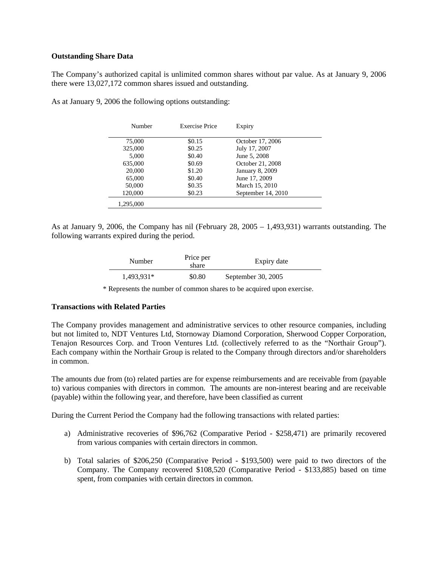## **Outstanding Share Data**

The Company's authorized capital is unlimited common shares without par value. As at January 9, 2006 there were 13,027,172 common shares issued and outstanding.

| Number    | <b>Exercise Price</b> | Expiry             |
|-----------|-----------------------|--------------------|
| 75,000    | \$0.15                | October 17, 2006   |
| 325,000   | \$0.25                | July 17, 2007      |
| 5,000     | \$0.40                | June 5, 2008       |
| 635,000   | \$0.69                | October 21, 2008   |
| 20,000    | \$1.20                | January 8, 2009    |
| 65,000    | \$0.40                | June 17, 2009      |
| 50,000    | \$0.35                | March 15, 2010     |
| 120,000   | \$0.23                | September 14, 2010 |
| 1,295,000 |                       |                    |

As at January 9, 2006 the following options outstanding:

As at January 9, 2006, the Company has nil (February 28, 2005 – 1,493,931) warrants outstanding. The following warrants expired during the period.

| Number     | Price per<br>share | Expiry date        |
|------------|--------------------|--------------------|
| 1,493,931* | \$0.80             | September 30, 2005 |

\* Represents the number of common shares to be acquired upon exercise.

## **Transactions with Related Parties**

The Company provides management and administrative services to other resource companies, including but not limited to, NDT Ventures Ltd, Stornoway Diamond Corporation, Sherwood Copper Corporation, Tenajon Resources Corp. and Troon Ventures Ltd. (collectively referred to as the "Northair Group"). Each company within the Northair Group is related to the Company through directors and/or shareholders in common.

The amounts due from (to) related parties are for expense reimbursements and are receivable from (payable to) various companies with directors in common. The amounts are non-interest bearing and are receivable (payable) within the following year, and therefore, have been classified as current

During the Current Period the Company had the following transactions with related parties:

- a) Administrative recoveries of \$96,762 (Comparative Period \$258,471) are primarily recovered from various companies with certain directors in common.
- b) Total salaries of \$206,250 (Comparative Period \$193,500) were paid to two directors of the Company. The Company recovered \$108,520 (Comparative Period - \$133,885) based on time spent, from companies with certain directors in common.